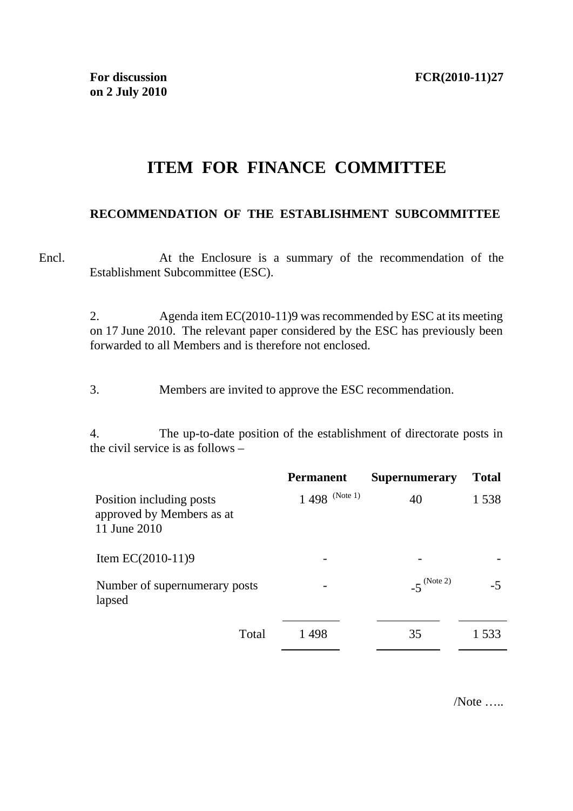## **ITEM FOR FINANCE COMMITTEE**

## **RECOMMENDATION OF THE ESTABLISHMENT SUBCOMMITTEE**

Encl. At the Enclosure is a summary of the recommendation of the Establishment Subcommittee (ESC).

> 2. Agenda item EC(2010-11)9 was recommended by ESC at its meeting on 17 June 2010. The relevant paper considered by the ESC has previously been forwarded to all Members and is therefore not enclosed.

3. Members are invited to approve the ESC recommendation.

4. The up-to-date position of the establishment of directorate posts in the civil service is as follows –

|                                                                       | <b>Permanent</b>  | <b>Supernumerary</b>    | <b>Total</b> |
|-----------------------------------------------------------------------|-------------------|-------------------------|--------------|
| Position including posts<br>approved by Members as at<br>11 June 2010 | $1\,498$ (Note 1) | 40                      | 1538         |
| Item $EC(2010-11)9$                                                   |                   |                         |              |
| Number of supernumerary posts<br>lapsed                               |                   | $-5^{(\text{Note } 2)}$ | -5           |
| Total                                                                 | 1 498             | 35                      | 1.533        |

/Note …..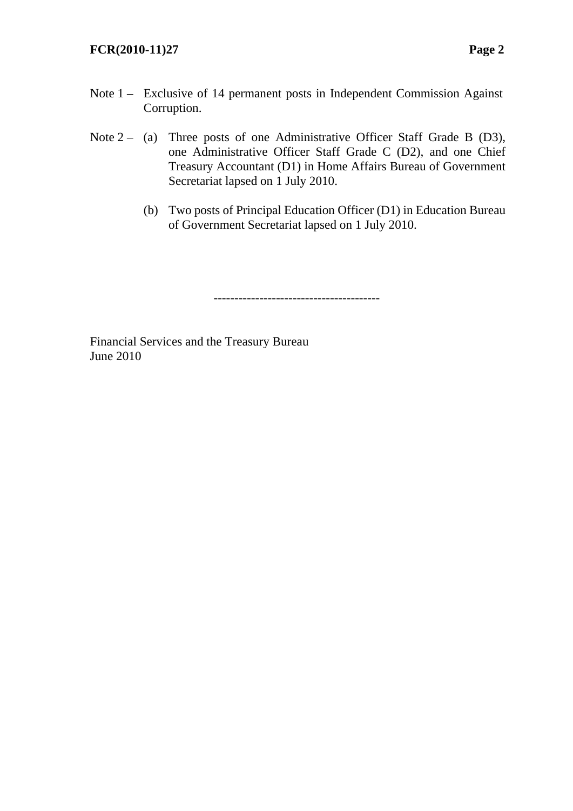## **FCR(2010-11)27 Page 2**

- Note 1 Exclusive of 14 permanent posts in Independent Commission Against Corruption.
- Note  $2 (a)$  Three posts of one Administrative Officer Staff Grade B (D3), one Administrative Officer Staff Grade C (D2), and one Chief Treasury Accountant (D1) in Home Affairs Bureau of Government Secretariat lapsed on 1 July 2010.
	- (b) Two posts of Principal Education Officer (D1) in Education Bureau of Government Secretariat lapsed on 1 July 2010.

----------------------------------------

Financial Services and the Treasury Bureau June 2010